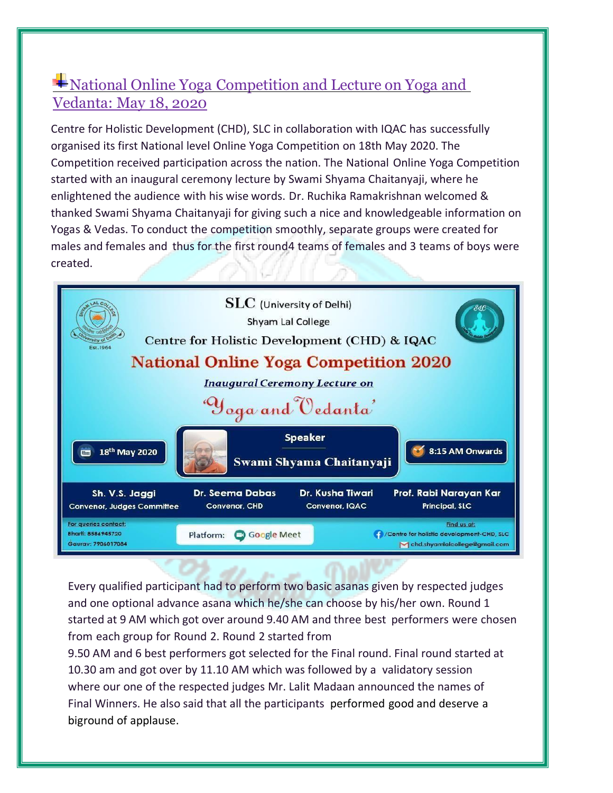## National Online Yoga Competition and Lecture on Yoga and Vedanta: May 18, 2020

Centre for Holistic Development (CHD), SLC in collaboration with IQAC has successfully organised its first National level Online Yoga Competition on 18th May 2020. The Competition received participation across the nation. The National Online Yoga Competition started with an inaugural ceremony lecture by Swami Shyama Chaitanyaji, where he enlightened the audience with his wise words. Dr. Ruchika Ramakrishnan welcomed & thanked Swami Shyama Chaitanyaji for giving such a nice and knowledgeable information on Yogas & Vedas. To conduct the competition smoothly, separate groups were created for males and females and thus for the first round4 teams of females and 3 teams of boys were created.



Every qualified participant had to perform two basic asanas given by respected judges and one optional advance asana which he/she can choose by his/her own. Round 1 started at 9 AM which got over around 9.40 AM and three best performers were chosen from each group for Round 2. Round 2 started from

9.50 AM and 6 best performers got selected for the Final round. Final round started at 10.30 am and got over by 11.10 AM which was followed by a validatory session where our one of the respected judges Mr. Lalit Madaan announced the names of Final Winners. He also said that all the participants performed good and deserve a biground of applause.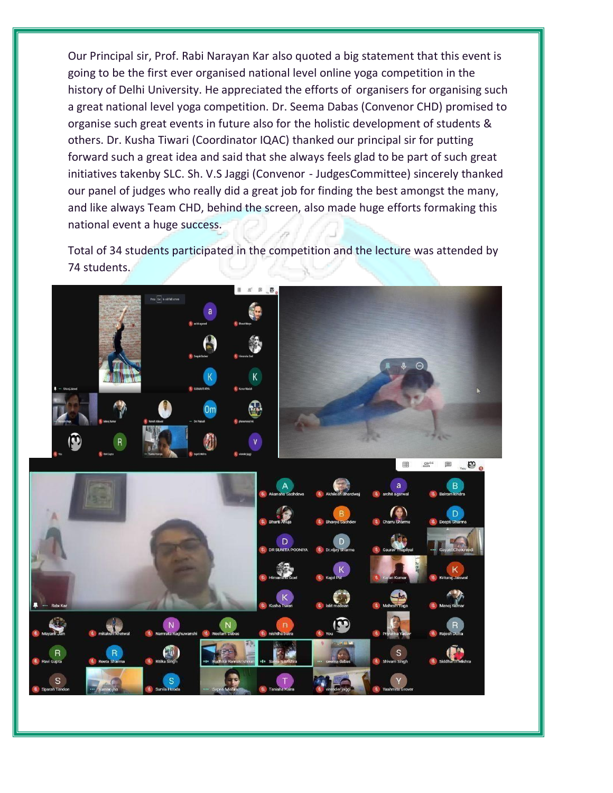Our Principal sir, Prof. Rabi Narayan Kar also quoted a big statement that this event is going to be the first ever organised national level online yoga competition in the history of Delhi University. He appreciated the efforts of organisers for organising such a great national level yoga competition. Dr. Seema Dabas (Convenor CHD) promised to organise such great events in future also for the holistic development of students & others. Dr. Kusha Tiwari (Coordinator IQAC) thanked our principal sir for putting forward such a great idea and said that she always feels glad to be part of such great initiatives takenby SLC. Sh. V.S Jaggi (Convenor - JudgesCommittee) sincerely thanked our panel of judges who really did a great job for finding the best amongst the many, and like always Team CHD, behind the screen, also made huge efforts formaking this national event a huge success.

Total of 34 students participated in the competition and the lecture was attended by 74 students.